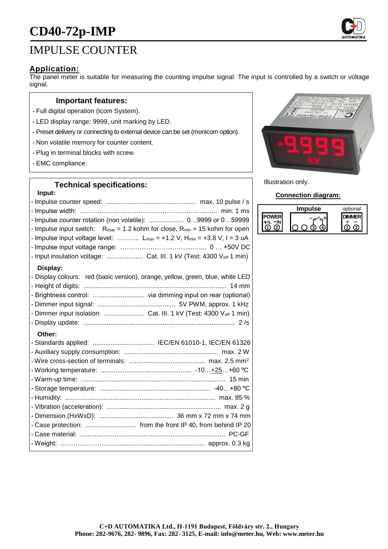# **CD40-72p-IMP**

## IMPULSE COUNTER

#### **Application:**

The panel meter is suitable for measuring the counting impulse signal. The input is controlled by a switch or voltage signal.

#### **Important features:**

- Full digital operation (Icom System).
- LED display range: 9999, unit marking by LED.
- Preset delivery or connecting to external device can be set (monIcom option).
- Non volatile memory for counter content.
- Plug in terminal blocks with screw.
- EMC compliance.

#### **Technical specifications:**

#### **Input:**

| · Impulse counter rotation (non volatile):  09999 or 059999<br>$\cdot$ Impulse input switch: R <sub>max</sub> = 1.2 kohm for close, R <sub>min</sub> = 15 kohm for open<br>$\cdot$ Impulse input voltage level:  L <sub>max</sub> = +1.2 V, H <sub>min</sub> = +3.8 V, I = 3 uA<br>· Input insulation voltage:  Cat. III. 1 kV (Test: 4300 Veff 1 min) |
|--------------------------------------------------------------------------------------------------------------------------------------------------------------------------------------------------------------------------------------------------------------------------------------------------------------------------------------------------------|
| Display:<br>· Display colours: red (basic version), orange, yellow, green, blue, white LED<br>· Dimmer input isolation:  Cat. III. 1 kV (Test: 4300 Veff 1 min)                                                                                                                                                                                        |
| Other:                                                                                                                                                                                                                                                                                                                                                 |
| . Case protection:  from the front IP 40, from behind IP 20                                                                                                                                                                                                                                                                                            |



Illustration only.

#### **Connection diagram:**